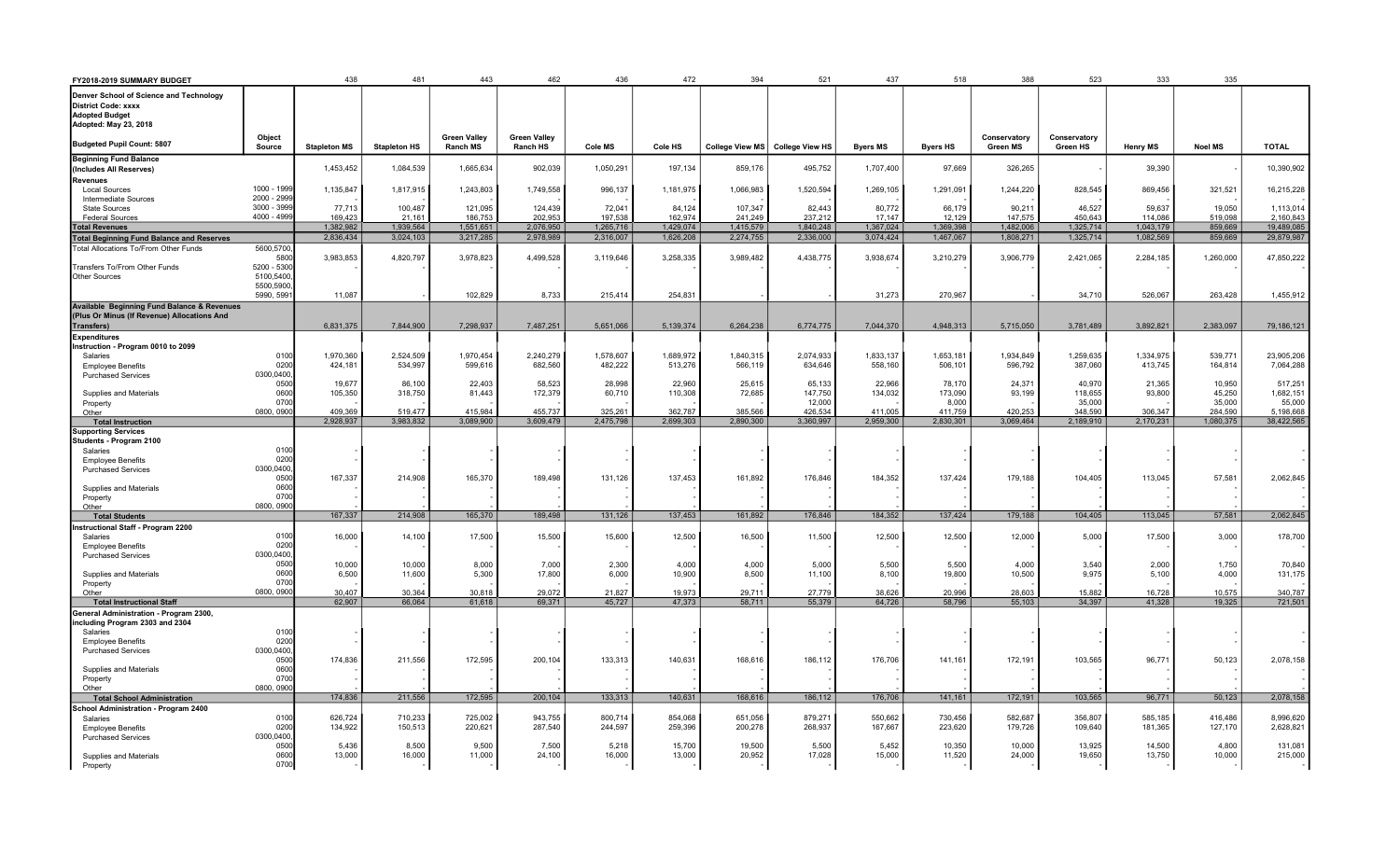| FY2018-2019 SUMMARY BUDGET                                                                 |                   | 438                  | 481                  | 443                                    | 462                             | 436                  | 472                  | 394                  | 521                               | 437                  | 518                  | 388                             | 523                      | 333                  | 335                  |                         |
|--------------------------------------------------------------------------------------------|-------------------|----------------------|----------------------|----------------------------------------|---------------------------------|----------------------|----------------------|----------------------|-----------------------------------|----------------------|----------------------|---------------------------------|--------------------------|----------------------|----------------------|-------------------------|
| Denver School of Science and Technology                                                    |                   |                      |                      |                                        |                                 |                      |                      |                      |                                   |                      |                      |                                 |                          |                      |                      |                         |
| District Code: xxxx                                                                        |                   |                      |                      |                                        |                                 |                      |                      |                      |                                   |                      |                      |                                 |                          |                      |                      |                         |
| <b>Adopted Budget</b>                                                                      |                   |                      |                      |                                        |                                 |                      |                      |                      |                                   |                      |                      |                                 |                          |                      |                      |                         |
| Adopted: May 23, 2018                                                                      |                   |                      |                      |                                        |                                 |                      |                      |                      |                                   |                      |                      |                                 |                          |                      |                      |                         |
| Budgeted Pupil Count: 5807                                                                 | Object<br>Source  | <b>Stapleton MS</b>  | <b>Stapleton HS</b>  | <b>Green Vallev</b><br><b>Ranch MS</b> | <b>Green Valley</b><br>Ranch HS | Cole MS              | Cole HS              |                      | College View MS   College View HS | <b>Byers MS</b>      | <b>Byers HS</b>      | Conservatory<br><b>Green MS</b> | Conservatory<br>Green HS | <b>Henry MS</b>      | <b>Noel MS</b>       | <b>TOTAL</b>            |
| <b>Beginning Fund Balance</b>                                                              |                   |                      |                      |                                        |                                 |                      |                      |                      |                                   |                      |                      |                                 |                          |                      |                      |                         |
| (Includes All Reserves)                                                                    |                   | 1,453,452            | 1,084,539            | 1,665,634                              | 902,039                         | 1,050,291            | 197,134              | 859,176              | 495,752                           | 1,707,400            | 97,669               | 326,265                         |                          | 39,390               |                      | 10,390,902              |
| Revenues<br><b>Local Sources</b>                                                           | 1000 - 1999       | 1,135,847            | 1,817,915            | 1,243,803                              | 1,749,558                       | 996,137              | 1,181,975            | 1,066,983            | 1,520,594                         | 1,269,105            | 1,291,091            | 1,244,220                       | 828,545                  | 869,456              | 321,521              | 16,215,228              |
| Intermediate Sources                                                                       | 2000 - 2999       |                      |                      |                                        |                                 |                      |                      |                      |                                   |                      |                      |                                 |                          |                      |                      |                         |
| <b>State Sources</b>                                                                       | 3000 - 3999       | 77,713               | 100,487              | 121,095                                | 124,439                         | 72,041               | 84,124               | 107,347              | 82,443                            | 80,772               | 66,179               | 90,21'                          | 46,527                   | 59,637               | 19,050               | 1,113,014               |
| <b>Federal Sources</b>                                                                     | 4000 - 4999       | 169,423              | 21,161               | 186,753                                | 202,953                         | 197,538              | 162,974              | 241,249              | 237,212                           | 17,147               | 12,129               | 147,575                         | 450,643                  | 114,086              | 519,098              | 2,160,843               |
| <b>Total Revenues</b>                                                                      |                   | 1,382,982            | 1,939,564            | 1,551,651                              | 2,076,950                       | 1,265,716            | 1,429,074            | 1,415,579            | 1,840,248                         | 1,367,024            | 1,369,398            | 1,482,006                       | 1,325,714                | 1,043,179            | 859,669              | 19,489,085              |
| <b>Total Beginning Fund Balance and Reserves</b>                                           |                   | 2,836,434            | 3,024,103            | 3,217,285                              | 2,978,989                       | 2,316,007            | 1,626,208            | 2,274,755            | 2,336,000                         | 3,074,424            | 1,467,067            | 1,808,271                       | 1,325,714                | 1,082,569            | 859,669              | 29,879,987              |
| Total Allocations To/From Other Funds                                                      | 5600,5700<br>5800 | 3,983,853            | 4,820,797            | 3,978,823                              | 4,499,528                       | 3,119,646            | 3,258,335            | 3,989,482            | 4,438,775                         | 3,938,674            | 3,210,279            | 3,906,779                       | 2,421,065                | 2,284,185            | 1,260,000            | 47,850,222              |
| Transfers To/From Other Funds                                                              | 5200 - 5300       |                      |                      |                                        |                                 |                      |                      |                      |                                   |                      |                      |                                 |                          |                      |                      |                         |
| Other Sources                                                                              | 5100,5400         |                      |                      |                                        |                                 |                      |                      |                      |                                   |                      |                      |                                 |                          |                      |                      |                         |
|                                                                                            | 5500,5900         |                      |                      |                                        |                                 |                      |                      |                      |                                   |                      |                      |                                 |                          |                      |                      |                         |
|                                                                                            | 5990, 599         | 11,087               |                      | 102,829                                | 8,733                           | 215,414              | 254.831              |                      |                                   | 31,273               | 270,967              |                                 | 34,710                   | 526.067              | 263.428              | 1,455,912               |
| Available Beginning Fund Balance & Revenues<br>(Plus Or Minus (If Revenue) Allocations And |                   |                      |                      |                                        |                                 |                      |                      |                      |                                   |                      |                      |                                 |                          |                      |                      |                         |
| Transfers)                                                                                 |                   | 6,831,375            | 7.844.900            | 7,298,937                              | 7,487,251                       | 5,651,066            | 5.139.374            | 6.264.238            | 6.774.775                         | 7.044.370            | 4.948.313            | 5.715.050                       | 3.781.489                | 3.892.821            | 2,383,097            | 79,186,121              |
| <b>Expenditures</b>                                                                        |                   |                      |                      |                                        |                                 |                      |                      |                      |                                   |                      |                      |                                 |                          |                      |                      |                         |
| Instruction - Program 0010 to 2099                                                         |                   |                      |                      |                                        |                                 |                      |                      |                      |                                   |                      |                      |                                 |                          |                      |                      |                         |
| Salaries                                                                                   | 0100              | 1,970,360            | 2,524,509            | 1,970,454                              | 2,240,279                       | 1.578.607            | 1.689.972            | 1,840,315            | 2,074,933                         | 1,833,137            | 1.653.181            | 1,934,849                       | 1,259,635                | 1,334,975            | 539,771              | 23,905,206              |
| <b>Employee Benefits</b><br><b>Purchased Services</b>                                      | 0200<br>0300,0400 | 424,181              | 534,997              | 599,616                                | 682,560                         | 482,222              | 513,276              | 566,119              | 634,646                           | 558,160              | 506,101              | 596,792                         | 387,060                  | 413,745              | 164,814              | 7,064,288               |
|                                                                                            | 0500              | 19,677               | 86,100               | 22,403                                 | 58,523                          | 28,998               | 22,960               | 25,615               | 65,133                            | 22,966               | 78,170               | 24,371                          | 40,970                   | 21,365               | 10,950               | 517,251                 |
| Supplies and Materials                                                                     | 0600              | 105,350              | 318,750              | 81,443                                 | 172,379                         | 60,710               | 110,308              | 72,685               | 147,750                           | 134,032              | 173,090              | 93,199                          | 118,655                  | 93,800               | 45,250               | 1,682,151               |
| Property                                                                                   | 0700              |                      |                      |                                        |                                 |                      |                      |                      | 12,000                            |                      | 8,000                |                                 | 35,000                   |                      | 35,000               | 55,000                  |
| Other<br><b>Total Instruction</b>                                                          | 0800, 090         | 409.369<br>2.928.937 | 519.477<br>3,983,832 | 415.984<br>3.089.900                   | 455.737<br>3,609,479            | 325.261<br>2,475,798 | 362.787<br>2.699.303 | 385.566<br>2.890.300 | 426.534<br>3.360.997              | 411.005<br>2.959.300 | 411.759<br>2.830.301 | 420.253<br>3.069.464            | 348.590<br>2.189.910     | 306.347<br>2,170,231 | 284.590<br>1,080,375 | 5.198.668<br>38,422,565 |
| <b>Supporting Services</b>                                                                 |                   |                      |                      |                                        |                                 |                      |                      |                      |                                   |                      |                      |                                 |                          |                      |                      |                         |
| Students - Program 2100                                                                    |                   |                      |                      |                                        |                                 |                      |                      |                      |                                   |                      |                      |                                 |                          |                      |                      |                         |
| Salaries                                                                                   | 0100              |                      |                      |                                        |                                 |                      |                      |                      |                                   |                      |                      |                                 |                          |                      |                      |                         |
| <b>Employee Benefits</b><br><b>Purchased Services</b>                                      | 0200<br>0300,0400 |                      |                      |                                        |                                 |                      |                      |                      |                                   |                      |                      |                                 |                          |                      |                      |                         |
|                                                                                            | 0500              | 167,337              | 214,908              | 165,370                                | 189,498                         | 131,126              | 137,453              | 161,892              | 176,846                           | 184,352              | 137,424              | 179,188                         | 104,405                  | 113,045              | 57,581               | 2,062,845               |
| Supplies and Materials                                                                     | 0600              |                      |                      |                                        |                                 |                      |                      |                      |                                   |                      |                      |                                 |                          |                      |                      |                         |
| Property                                                                                   | 0700              |                      |                      |                                        |                                 |                      |                      |                      |                                   |                      |                      |                                 |                          |                      |                      |                         |
| Other<br><b>Total Students</b>                                                             | 0800, 090         | 167,337              | 214,908              | 165,370                                | 189,498                         | 131,126              | 137,453              | 161,892              | 176,846                           | 184,352              | 137,424              | 179,188                         | 104,405                  | 113,045              | 57,581               | 2,062,845               |
| nstructional Staff - Program 2200                                                          |                   |                      |                      |                                        |                                 |                      |                      |                      |                                   |                      |                      |                                 |                          |                      |                      |                         |
| Salaries                                                                                   | 0100              | 16,000               | 14,100               | 17,500                                 | 15,500                          | 15,600               | 12,500               | 16,500               | 11,500                            | 12,500               | 12,500               | 12,000                          | 5,000                    | 17,500               | 3,000                | 178,700                 |
| <b>Employee Benefits</b>                                                                   | 0200              |                      |                      |                                        |                                 |                      |                      |                      |                                   |                      |                      |                                 |                          |                      |                      |                         |
| <b>Purchased Services</b>                                                                  | 0300,0400         |                      |                      |                                        |                                 |                      |                      |                      |                                   |                      |                      |                                 |                          |                      |                      |                         |
| Supplies and Materials                                                                     | 0500<br>0600      | 10,000<br>6,500      | 10,000<br>11,600     | 8,000<br>5,300                         | 7,000<br>17,800                 | 2,300<br>6,000       | 4,000<br>10,900      | 4,000<br>8,500       | 5,000<br>11,100                   | 5,500<br>8,100       | 5,500<br>19,800      | 4,000<br>10,500                 | 3,540<br>9,975           | 2,000<br>5,100       | 1,750<br>4,000       | 70,840<br>131,175       |
| Property                                                                                   | 0700              |                      |                      |                                        |                                 |                      |                      |                      |                                   |                      |                      |                                 |                          |                      |                      |                         |
| Other                                                                                      | 0800, 0900        | 30.407               | 30.364               | 30.818                                 | 29.072                          | 21.827               | 19.973               | 29.711               | 27,779                            | 38.626               | 20.996               | 28.603                          | 15.882                   | 16.728               | 10.575               | 340.787                 |
| <b>Total Instructional Staff</b>                                                           |                   | 62,907               | 66,064               | 61,618                                 | 69,371                          | 45,727               | 47.373               | 58.711               | 55,379                            | 64,726               | 58,796               | 55,103                          | 34,397                   | 41.328               | 19,325               | 721,501                 |
| General Administration - Program 2300,<br>including Program 2303 and 2304                  |                   |                      |                      |                                        |                                 |                      |                      |                      |                                   |                      |                      |                                 |                          |                      |                      |                         |
| Salaries                                                                                   | 010               |                      |                      |                                        |                                 |                      |                      |                      |                                   |                      |                      |                                 |                          |                      |                      |                         |
| <b>Employee Benefits</b>                                                                   | 0200              |                      |                      |                                        |                                 |                      |                      |                      |                                   |                      |                      |                                 |                          |                      |                      |                         |
| <b>Purchased Services</b>                                                                  | 0300,0400         |                      |                      |                                        |                                 |                      |                      |                      |                                   |                      |                      |                                 |                          |                      |                      |                         |
| Supplies and Materials                                                                     | 0500<br>0600      | 174,836              | 211,556              | 172,595                                | 200,104                         | 133,313              | 140,631              | 168,616              | 186,112                           | 176,706              | 141,161              | 172,191                         | 103,565                  | 96,771               | 50,123               | 2,078,158               |
| Property                                                                                   | 0700              |                      |                      |                                        |                                 |                      |                      |                      |                                   |                      |                      |                                 |                          |                      |                      |                         |
| Other                                                                                      | 0800, 0900        |                      |                      |                                        |                                 |                      |                      |                      |                                   |                      |                      |                                 |                          |                      |                      |                         |
| <b>Total School Administration</b>                                                         |                   | 174,836              | 211,556              | 172,595                                | 200,104                         | 133,313              | 140.631              | 168,616              | 186,112                           | 176,706              | 141.161              | 172,191                         | 103.565                  | 96,771               | 50,123               | 2,078,158               |
| <b>School Administration - Program 2400</b>                                                |                   |                      |                      |                                        |                                 |                      |                      |                      |                                   |                      |                      |                                 |                          |                      |                      |                         |
| Salaries<br><b>Employee Benefits</b>                                                       | 0100<br>0200      | 626,724<br>134,922   | 710,233<br>150,513   | 725,002<br>220,621                     | 943,755<br>287,540              | 800,714<br>244,597   | 854,068<br>259.396   | 651,056<br>200.278   | 879,271<br>268,937                | 550,662<br>167.667   | 730,456<br>223,620   | 582,687<br>179,726              | 356,807<br>109,640       | 585,185<br>181,365   | 416,486<br>127,170   | 8,996,620<br>2,628,821  |
| <b>Purchased Services</b>                                                                  | 0300,0400         |                      |                      |                                        |                                 |                      |                      |                      |                                   |                      |                      |                                 |                          |                      |                      |                         |
|                                                                                            | 0500              | 5,436                | 8,500                | 9.500                                  | 7,500                           | 5.218                | 15.700               | 19.500               | 5,500                             | 5.452                | 10,350               | 10,000                          | 13,925                   | 14,500               | 4,800                | 131,081                 |
| Supplies and Materials                                                                     | 0600              | 13,000               | 16,000               | 11,000                                 | 24,100                          | 16,000               | 13,000               | 20,952               | 17,028                            | 15,000               | 11,520               | 24,000                          | 19,650                   | 13,750               | 10,000               | 215,000                 |
| Property                                                                                   | 0700              |                      |                      |                                        |                                 |                      |                      |                      |                                   |                      |                      |                                 |                          |                      |                      |                         |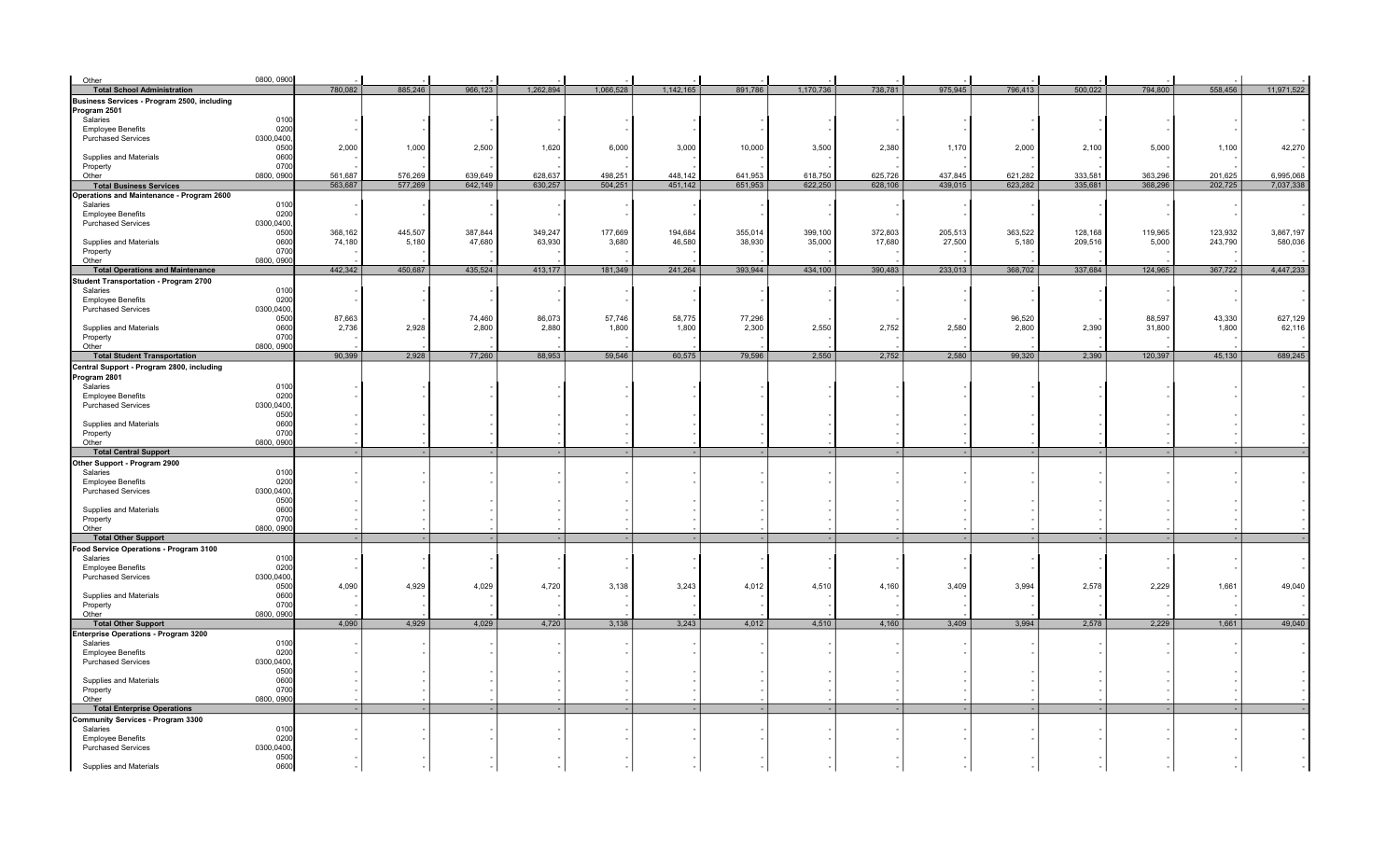| Other                                                 | 0800, 0900        |         |         |         |           |           |           |         |           |         |         |         |         |         |         |            |
|-------------------------------------------------------|-------------------|---------|---------|---------|-----------|-----------|-----------|---------|-----------|---------|---------|---------|---------|---------|---------|------------|
| <b>Total School Administration</b>                    |                   | 780,082 | 885,246 | 966,123 | 1,262,894 | 1,066,528 | 1,142,165 | 891,786 | 1,170,736 | 738,781 | 975,945 | 796,413 | 500,022 | 794,800 | 558,456 | 11,971,522 |
| Business Services - Program 2500, including           |                   |         |         |         |           |           |           |         |           |         |         |         |         |         |         |            |
| Program 2501                                          |                   |         |         |         |           |           |           |         |           |         |         |         |         |         |         |            |
| Salaries                                              | 0100              |         |         |         |           |           |           |         |           |         |         |         |         |         |         |            |
| <b>Employee Benefits</b>                              | 0200              |         |         |         |           |           |           |         |           |         |         |         |         |         |         |            |
| <b>Purchased Services</b>                             | 0300,0400         |         |         |         |           |           |           |         |           |         |         |         |         |         |         |            |
|                                                       | 0500              | 2,000   | 1,000   | 2,500   | 1,620     | 6,000     | 3,000     | 10,000  | 3,500     | 2,380   | 1,170   | 2,000   | 2,100   | 5,000   | 1,100   | 42,270     |
| Supplies and Materials                                | 0600              |         |         |         |           |           |           |         |           |         |         |         |         |         |         |            |
| Property                                              | 0700              |         |         |         |           |           |           |         |           |         |         |         |         |         |         |            |
| Other                                                 | 0800, 0900        | 561,687 | 576,269 | 639,649 | 628,637   | 498.251   | 448,142   | 641,953 | 618,750   | 625,726 | 437,845 | 621,282 | 333,581 | 363,296 | 201,625 | 6,995,068  |
| <b>Total Business Services</b>                        |                   | 563,687 | 577,269 | 642,149 | 630,257   | 504,251   | 451,142   | 651,953 | 622,250   | 628,106 | 439,015 | 623,282 | 335,681 | 368,296 | 202,725 | 7,037,338  |
| Operations and Maintenance - Program 2600<br>Salaries | 0100              |         |         |         |           |           |           |         |           |         |         |         |         |         |         |            |
| <b>Employee Benefits</b>                              | 0200              |         |         |         |           |           |           |         |           |         |         |         |         |         |         |            |
| <b>Purchased Services</b>                             | 0300,0400         |         |         |         |           |           |           |         |           |         |         |         |         |         |         |            |
|                                                       | 0500              | 368,162 | 445,507 | 387,844 | 349,247   | 177,669   | 194,684   | 355,014 | 399,100   | 372,803 | 205,513 | 363,522 | 128,168 | 119,965 | 123,932 | 3,867,197  |
| Supplies and Materials                                | 0600              | 74,180  | 5,180   | 47,680  | 63,930    | 3,680     | 46,580    | 38,930  | 35,000    | 17,680  | 27,500  | 5,180   | 209,516 | 5,000   | 243,790 | 580,036    |
| Property                                              | 0700              |         |         |         |           |           |           |         |           |         |         |         |         |         |         |            |
| Other                                                 | 0800, 0900        |         |         |         |           |           |           |         |           |         |         |         |         |         |         |            |
| <b>Total Operations and Maintenance</b>               |                   | 442,342 | 450,687 | 435,524 | 413,177   | 181,349   | 241,264   | 393,944 | 434,100   | 390,483 | 233,013 | 368,702 | 337,684 | 124,965 | 367,722 | 4,447,233  |
| Student Transportation - Program 2700                 |                   |         |         |         |           |           |           |         |           |         |         |         |         |         |         |            |
| Salaries                                              | 0100              |         |         |         |           |           |           |         |           |         |         |         |         |         |         |            |
| <b>Employee Benefits</b>                              | 0200              |         |         |         |           |           |           |         |           |         |         |         |         |         |         |            |
| <b>Purchased Services</b>                             | 0300,0400         |         |         |         |           |           |           |         |           |         |         |         |         |         |         |            |
|                                                       | 0500              | 87,663  |         | 74,460  | 86,073    | 57,746    | 58,775    | 77,296  |           |         |         | 96,520  |         | 88,597  | 43,330  | 627,129    |
| Supplies and Materials                                | 0600<br>0700      | 2,736   | 2,928   | 2,800   | 2,880     | 1,800     | 1,800     | 2,300   | 2,550     | 2,752   | 2,580   | 2,800   | 2,390   | 31,800  | 1,800   | 62,116     |
| Property<br>Other                                     | 0800, 0900        |         |         |         |           |           |           |         |           |         |         |         |         |         |         |            |
| <b>Total Student Transportation</b>                   |                   | 90,399  | 2,928   | 77,260  | 88,953    | 59,546    | 60,575    | 79,596  | 2,550     | 2,752   | 2,580   | 99,320  | 2,390   | 120,397 | 45,130  | 689,245    |
| Central Support - Program 2800, including             |                   |         |         |         |           |           |           |         |           |         |         |         |         |         |         |            |
| Program 2801                                          |                   |         |         |         |           |           |           |         |           |         |         |         |         |         |         |            |
| Salaries                                              | 0100              |         |         |         |           |           |           |         |           |         |         |         |         |         |         |            |
| <b>Employee Benefits</b>                              | 0200              |         |         |         |           |           |           |         |           |         |         |         |         |         |         |            |
| <b>Purchased Services</b>                             | 0300,0400         |         |         |         |           |           |           |         |           |         |         |         |         |         |         |            |
|                                                       | 0500              |         |         |         |           |           |           |         |           |         |         |         |         |         |         |            |
| Supplies and Materials                                | 0600              |         |         |         |           |           |           |         |           |         |         |         |         |         |         |            |
| Property                                              | 0700              |         |         |         |           |           |           |         |           |         |         |         |         |         |         |            |
| Other                                                 | 0800, 0900        |         |         |         |           |           |           |         |           |         |         |         |         |         |         |            |
| <b>Total Central Support</b>                          |                   |         |         |         |           |           |           |         |           |         |         |         |         |         |         |            |
| Other Support - Program 2900                          | 0100              |         |         |         |           |           |           |         |           |         |         |         |         |         |         |            |
| Salaries<br><b>Employee Benefits</b>                  | 0200              |         |         |         |           |           |           |         |           |         |         |         |         |         |         |            |
| <b>Purchased Services</b>                             | 0300,0400         |         |         |         |           |           |           |         |           |         |         |         |         |         |         |            |
|                                                       | 0500              |         |         |         |           |           |           |         |           |         |         |         |         |         |         |            |
| Supplies and Materials                                | 0600              |         |         |         |           |           |           |         |           |         |         |         |         |         |         |            |
| Property                                              | 0700              |         |         |         |           |           |           |         |           |         |         |         |         |         |         |            |
| Other                                                 | 0800, 0900        |         |         |         |           |           |           |         |           |         |         |         |         |         |         |            |
| <b>Total Other Support</b>                            |                   |         |         |         |           |           |           |         |           |         |         |         |         |         |         |            |
| Food Service Operations - Program 3100                |                   |         |         |         |           |           |           |         |           |         |         |         |         |         |         |            |
| Salaries                                              | 0100              |         |         |         |           |           |           |         |           |         |         |         |         |         |         |            |
| <b>Employee Benefits</b>                              | 0200              |         |         |         |           |           |           |         |           |         |         |         |         |         |         |            |
| <b>Purchased Services</b>                             | 0300,0400<br>0500 | 4,090   | 4,929   | 4,029   | 4,720     | 3,138     | 3,243     | 4,012   | 4,510     | 4,160   | 3,409   | 3,994   | 2,578   | 2,229   | 1,661   | 49,040     |
| Supplies and Materials                                | 0600              |         |         |         |           |           |           |         |           |         |         |         |         |         |         |            |
| Property                                              | 0700              |         |         |         |           |           |           |         |           |         |         |         |         |         |         |            |
| Other                                                 | 0800, 0900        |         |         |         |           |           |           |         |           |         |         |         |         |         |         |            |
| <b>Total Other Support</b>                            |                   | 4,090   | 4,929   | 4,029   | 4,720     | 3,138     | 3,243     | 4,012   | 4,510     | 4,160   | 3,409   | 3,994   | 2,578   | 2,229   | 1,661   | 49,040     |
| Enterprise Operations - Program 3200                  |                   |         |         |         |           |           |           |         |           |         |         |         |         |         |         |            |
| Salaries                                              | 0100              |         |         |         |           |           |           |         |           |         |         |         |         |         |         |            |
| <b>Employee Benefits</b>                              | 0200              |         |         |         |           |           |           |         |           |         |         |         |         |         |         |            |
| <b>Purchased Services</b>                             | 0300,0400         |         |         |         |           |           |           |         |           |         |         |         |         |         |         |            |
|                                                       | 0500<br>0600      |         |         |         |           |           |           |         |           |         |         |         |         |         |         |            |
| Supplies and Materials<br>Property                    | 0700              |         |         |         |           |           |           |         |           |         |         |         |         |         |         |            |
| Other                                                 | 0800, 0900        |         |         |         |           |           |           |         |           |         |         |         |         |         |         |            |
| <b>Total Enterprise Operations</b>                    |                   |         |         |         |           |           |           |         |           |         |         |         |         |         |         |            |
| Community Services - Program 3300                     |                   |         |         |         |           |           |           |         |           |         |         |         |         |         |         |            |
| Salaries                                              | 0100              |         |         |         |           |           |           |         |           |         |         |         |         |         |         |            |
| <b>Employee Benefits</b>                              | 0200              |         |         |         |           |           |           |         |           |         |         |         |         |         |         |            |
| <b>Purchased Services</b>                             | 0300,0400         |         |         |         |           |           |           |         |           |         |         |         |         |         |         |            |
|                                                       | 0500              |         |         |         |           |           |           |         |           |         |         |         |         |         |         |            |
| Supplies and Materials                                | 0600              |         |         |         |           |           |           |         |           |         |         |         |         |         |         |            |